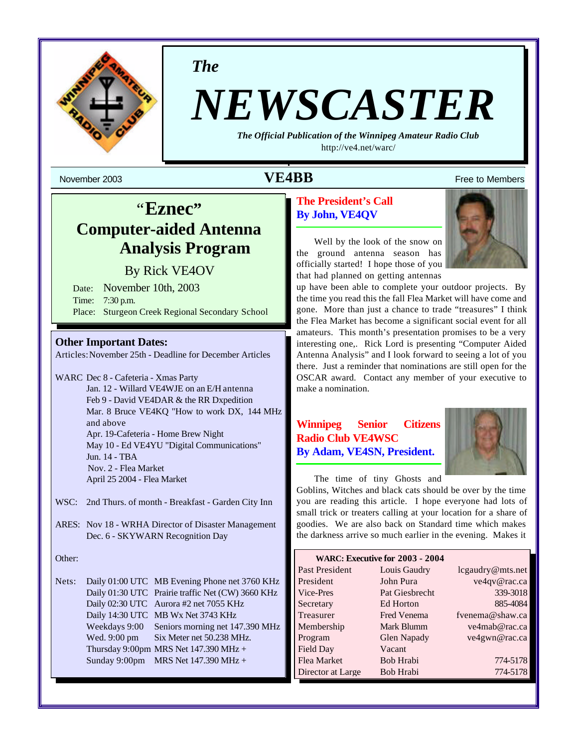

*The*

# *NEWSCASTER*

*The Official Publication of the Winnipeg Amateur Radio Club* <http://ve4.net/warc/>

## November 2003 **1999 12:30 The State of Texas State of Texas State of Texas State of Texas State of Texas State of Texas State of Texas State of Texas State of Texas State of Texas State of Texas State of Texas State of Tex**

## "**Eznec" Computer-aided Antenna Analysis Program**

By Rick VE4OV

Date: November 10th, 2003 Time: 7:30 p.m. Place: Sturgeon Creek Regional Secondary School

### **Other Important Dates:**

Articles:November 25th - Deadline for December Articles

WARC Dec 8 - Cafeteria - Xmas Party Jan. 12 - Willard VE4WJE on an E/H antenna Feb 9 - David VE4DAR & the RR Dxpedition Mar. 8 Bruce VE4KQ "How to work DX, 144 MHz and above Apr. 19-Cafeteria - Home Brew Night May 10 - Ed VE4YU "Digital Communications" Jun. 14 - TBA Nov. 2 - Flea Market April 25 2004 - Flea Market

- WSC: 2nd Thurs. of month Breakfast Garden City Inn
- ARES: Nov 18 WRHA Director of Disaster Management Dec. 6 - SKYWARN Recognition Day

#### Other:

Nets: Daily 01:00 UTC MB Evening Phone net 3760 KHz Daily 01:30 UTC Prairie traffic Net (CW) 3660 KHz Daily 02:30 UTC Aurora #2 net 7055 KHz Daily 14:30 UTC MB Wx Net 3743 KHz Weekdays 9:00 Seniors morning net 147.390 MHz Wed. 9:00 pm Six Meter net 50.238 MHz. Thursday 9:00pm MRS Net  $147.390$  MHz + Sunday 9:00pm MRS Net 147.390 MHz +

## **The President's Call By John, VE4QV**

Well by the look of the snow on the ground antenna season has officially started! I hope those of you that had planned on getting antennas



up have been able to complete your outdoor projects. By the time you read this the fall Flea Market will have come and gone. More than just a chance to trade "treasures" I think the Flea Market has become a significant social event for all amateurs. This month's presentation promises to be a very interesting one,. Rick Lord is presenting "Computer Aided Antenna Analysis" and I look forward to seeing a lot of you there. Just a reminder that nominations are still open for the OSCAR award. Contact any member of your executive to make a nomination.

## **Winnipeg Senior Citizens Radio Club VE4WSC By Adam, VE4SN, President.**



The time of tiny Ghosts and

Goblins, Witches and black cats should be over by the time you are reading this article. I hope everyone had lots of small trick or treaters calling at your location for a share of goodies. We are also back on Standard time which makes the darkness arrive so much earlier in the evening. Makes it

| WARC: Executive for 2003 - 2004 |                    |                  |
|---------------------------------|--------------------|------------------|
| Past President                  | Louis Gaudry       | lcgaudry@mts.net |
| President                       | John Pura          | ve4qv@rac.ca     |
| Vice-Pres                       | Pat Giesbrecht     | 339-3018         |
| Secretary                       | Ed Horton          | 885-4084         |
| Treasurer                       | <b>Fred Venema</b> | fvenema@shaw.ca  |
| Membership                      | Mark Blumm         | ve4mab@rac.ca    |
| Program                         | <b>Glen Napady</b> | ve4gwn@rac.ca    |
| Field Day                       | Vacant             |                  |
| Flea Market                     | Bob Hrabi          | 774-5178         |
| Director at Large               | <b>Bob Hrabi</b>   | 774-5178         |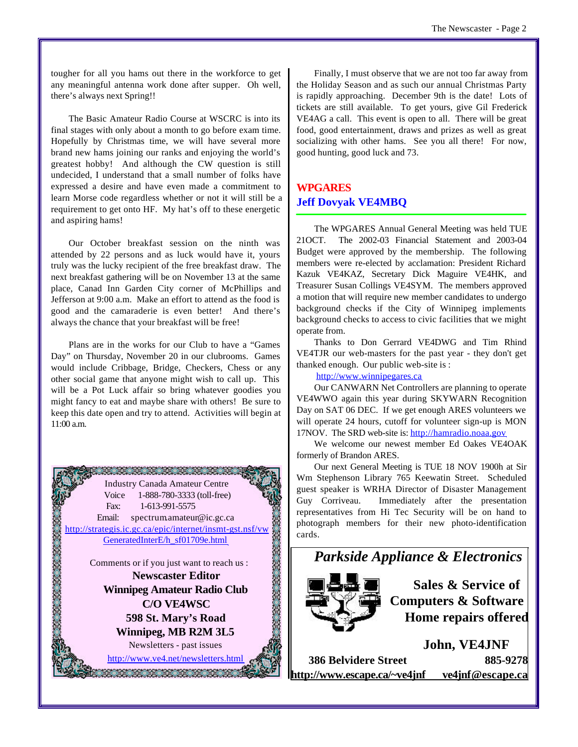tougher for all you hams out there in the workforce to get any meaningful antenna work done after supper. Oh well, there's always next Spring!!

The Basic Amateur Radio Course at WSCRC is into its final stages with only about a month to go before exam time. Hopefully by Christmas time, we will have several more brand new hams joining our ranks and enjoying the world's greatest hobby! And although the CW question is still undecided, I understand that a small number of folks have expressed a desire and have even made a commitment to learn Morse code regardless whether or not it will still be a requirement to get onto HF. My hat's off to these energetic and aspiring hams!

Our October breakfast session on the ninth was attended by 22 persons and as luck would have it, yours truly was the lucky recipient of the free breakfast draw. The next breakfast gathering will be on November 13 at the same place, Canad Inn Garden City corner of McPhillips and Jefferson at 9:00 a.m. Make an effort to attend as the food is good and the camaraderie is even better! And there's always the chance that your breakfast will be free!

Plans are in the works for our Club to have a "Games Day" on Thursday, November 20 in our clubrooms. Games would include Cribbage, Bridge, Checkers, Chess or any other social game that anyone might wish to call up. This will be a Pot Luck affair so bring whatever goodies you might fancy to eat and maybe share with others! Be sure to keep this date open and try to attend. Activities will begin at 11:00 a.m.



Finally, I must observe that we are not too far away from the Holiday Season and as such our annual Christmas Party is rapidly approaching. December 9th is the date! Lots of tickets are still available. To get yours, give Gil Frederick VE4AG a call. This event is open to all. There will be great food, good entertainment, draws and prizes as well as great socializing with other hams. See you all there! For now, good hunting, good luck and 73.

## **WPGARES Jeff Dovyak VE4MBQ**

The WPGARES Annual General Meeting was held TUE 21OCT. The 2002-03 Financial Statement and 2003-04 Budget were approved by the membership. The following members were re-elected by acclamation: President Richard Kazuk VE4KAZ, Secretary Dick Maguire VE4HK, and Treasurer Susan Collings VE4SYM. The members approved a motion that will require new member candidates to undergo background checks if the City of Winnipeg implements background checks to access to civic facilities that we might operate from.

Thanks to Don Gerrard VE4DWG and Tim Rhind VE4TJR our web-masters for the past year - they don't get thanked enough. Our public web-site is :

#### <http://www.winnipegares.ca>

Our CANWARN Net Controllers are planning to operate VE4WWO again this year during SKYWARN Recognition Day on SAT 06 DEC. If we get enough ARES volunteers we will operate 24 hours, cutoff for volunteer sign-up is MON 17NOV. The SRD web-site is:<http://hamradio.noaa.gov>

We welcome our newest member Ed Oakes VE4OAK formerly of Brandon ARES.

Our next General Meeting is TUE 18 NOV 1900h at Sir Wm Stephenson Library 765 Keewatin Street. Scheduled guest speaker is WRHA Director of Disaster Management Guy Corriveau. Immediately after the presentation representatives from Hi Tec Security will be on hand to photograph members for their new photo-identification cards.



**Sales & Service of Computers & Software Home repairs offered**

**John, VE4JNF 386 Belvidere Street 885-9278 <http://www.escape.ca/~ve4jnf> ve4jnf@escape.ca**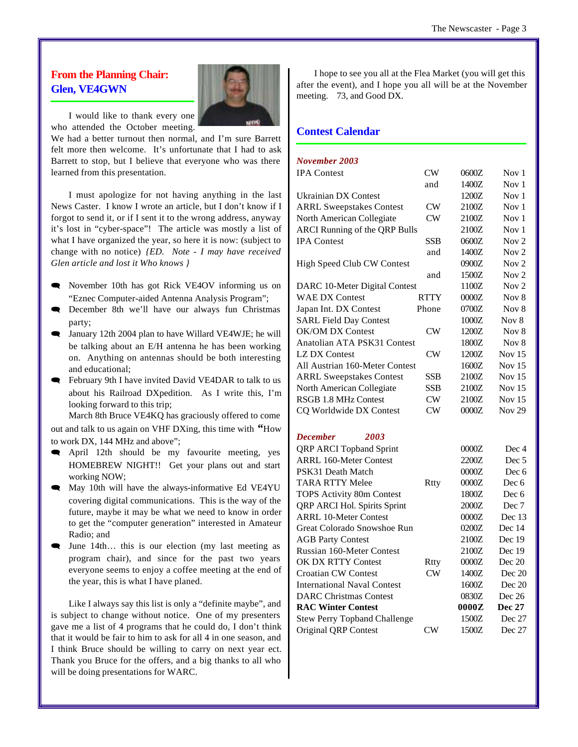## **From the Planning Chair: Glen, VE4GWN**



I would like to thank every one who attended the October meeting.

We had a better turnout then normal, and I'm sure Barrett felt more then welcome. It's unfortunate that I had to ask Barrett to stop, but I believe that everyone who was there learned from this presentation.

I must apologize for not having anything in the last News Caster. I know I wrote an article, but I don't know if I forgot to send it, or if I sent it to the wrong address, anyway it's lost in "cyber-space"! The article was mostly a list of what I have organized the year, so here it is now: (subject to change with no notice) *{ED. Note - I may have received Glen article and lost it Who knows }*

- November 10th has got Rick VE4OV informing us on "Eznec Computer-aided Antenna Analysis Program";
- **Exercher 8th we'll have our always fun Christmas** party;
- January 12th 2004 plan to have Willard VE4WJE; he will be talking about an E/H antenna he has been working on. Anything on antennas should be both interesting and educational;
- February 9th I have invited David VE4DAR to talk to us about his Railroad DXpedition. As I write this, I'm looking forward to this trip;

March 8th Bruce VE4KQ has graciously offered to come out and talk to us again on VHF DXing, this time with **"**How to work DX, 144 MHz and above";

- **E** April 12th should be my favourite meeting, yes HOMEBREW NIGHT!! Get your plans out and start working NOW;
- May 10th will have the always-informative Ed VE4YU covering digital communications. This is the way of the future, maybe it may be what we need to know in order to get the "computer generation" interested in Amateur Radio; and
- June 14th... this is our election (my last meeting as program chair), and since for the past two years everyone seems to enjoy a coffee meeting at the end of the year, this is what I have planed.

Like I always say this list is only a "definite maybe", and is subject to change without notice. One of my presenters gave me a list of 4 programs that he could do, I don't think that it would be fair to him to ask for all 4 in one season, and I think Bruce should be willing to carry on next year ect. Thank you Bruce for the offers, and a big thanks to all who will be doing presentations for WARC.

I hope to see you all at the Flea Market (you will get this after the event), and I hope you all will be at the November meeting. 73, and Good DX.

## **Contest Calendar**

## *November 2003*

| <b>IPA</b> Contest                   | CW          | 0600Z | Nov 1            |
|--------------------------------------|-------------|-------|------------------|
|                                      | and         | 1400Z | Nov <sub>1</sub> |
| Ukrainian DX Contest                 |             | 1200Z | Nov 1            |
| <b>ARRL Sweepstakes Contest</b>      | CW          | 2100Z | Nov 1            |
| North American Collegiate            | CW          | 2100Z | Nov <sub>1</sub> |
| <b>ARCI Running of the QRP Bulls</b> |             | 2100Z | Nov <sub>1</sub> |
| <b>IPA</b> Contest                   | <b>SSB</b>  | 0600Z | Nov <sub>2</sub> |
|                                      | and         | 1400Z | Nov <sub>2</sub> |
| <b>High Speed Club CW Contest</b>    |             | 0900Z | Nov <sub>2</sub> |
|                                      | and         | 1500Z | Nov $2$          |
| DARC 10-Meter Digital Contest        |             | 1100Z | Nov <sub>2</sub> |
| <b>WAE DX Contest</b>                | <b>RTTY</b> | 0000Z | Nov 8            |
| Japan Int. DX Contest                | Phone       | 0700Z | Nov 8            |
| <b>SARL Field Day Contest</b>        |             | 1000Z | Nov 8            |
| <b>OK/OM DX Contest</b>              | CW          | 1200Z | Nov 8            |
| Anatolian ATA PSK31 Contest          |             | 1800Z | Nov 8            |
| <b>LZ DX Contest</b>                 | CW          | 1200Z | Nov $15$         |
| All Austrian 160-Meter Contest       |             | 1600Z | Nov $15$         |
| <b>ARRL Sweepstakes Contest</b>      | <b>SSB</b>  | 2100Z | Nov $15$         |
| North American Collegiate            | SSB         | 2100Z | Nov $15$         |
| <b>RSGB 1.8 MHz Contest</b>          | CW          | 2100Z | Nov $15$         |
| CQ Worldwide DX Contest              | CW          | 0000Z | <b>Nov 29</b>    |
| <b>December</b><br>2003              |             |       |                  |
| <b>QRP ARCI Topband Sprint</b>       |             | 0000Z | Dec 4            |
| <b>ARRL 160-Meter Contest</b>        |             | 2200Z | Dec 5            |
| PSK31 Death Match                    |             | 0000Z | Dec 6            |
| <b>TARA RTTY Melee</b>               | Rtty        | 0000Z | Dec 6            |
| <b>TOPS Activity 80m Contest</b>     |             | 1800Z | Dec 6            |
| QRP ARCI Hol. Spirits Sprint         |             | 2000Z | Dec 7            |
| <b>ARRL 10-Meter Contest</b>         |             | 0000Z | Dec 13           |
| Great Colorado Snowshoe Run          |             | 0200Z | Dec 14           |
| <b>AGB Party Contest</b>             |             | 2100Z | Dec 19           |
| <b>Russian 160-Meter Contest</b>     |             | 2100Z | Dec 19           |
| OK DX RTTY Contest                   | Rtty        | 0000Z | Dec 20           |
| <b>Croatian CW Contest</b>           | $\rm CW$    | 1400Z | Dec 20           |

International Naval Contest 1600Z Dec 20 DARC Christmas Contest 0830Z Dec 26 **RAC Winter Contest 0000Z Dec 27** Stew Perry Topband Challenge 1500Z Dec 27 Original QRP Contest CW 1500Z Dec 27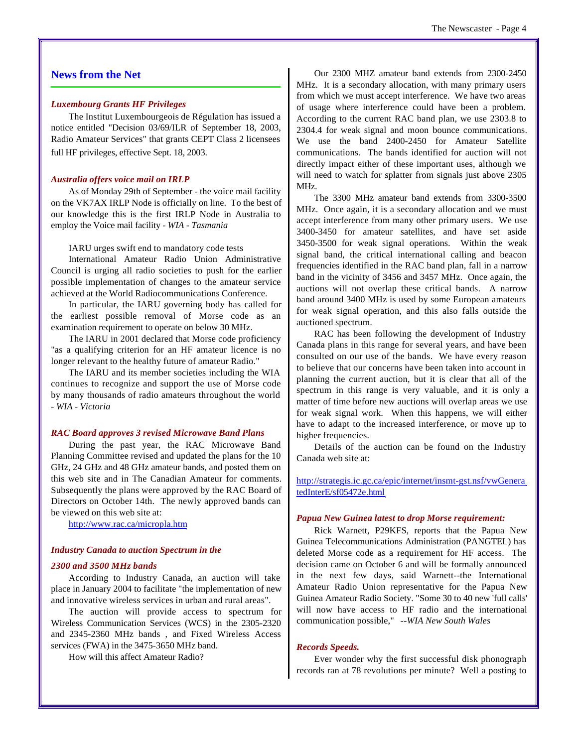### **News from the Net**

#### *Luxembourg Grants HF Privileges*

The Institut Luxembourgeois de Régulation has issued a notice entitled "Decision 03/69/ILR of September 18, 2003, Radio Amateur Services" that grants CEPT Class 2 licensees full HF privileges, effective Sept. 18, 2003.

#### *Australia offers voice mail on IRLP*

As of Monday 29th of September - the voice mail facility on the VK7AX IRLP Node is officially on line. To the best of our knowledge this is the first IRLP Node in Australia to employ the Voice mail facility - *WIA - Tasmania*

#### IARU urges swift end to mandatory code tests

International Amateur Radio Union Administrative Council is urging all radio societies to push for the earlier possible implementation of changes to the amateur service achieved at the World Radiocommunications Conference.

In particular, the IARU governing body has called for the earliest possible removal of Morse code as an examination requirement to operate on below 30 MHz.

The IARU in 2001 declared that Morse code proficiency "as a qualifying criterion for an HF amateur licence is no longer relevant to the healthy future of amateur Radio."

The IARU and its member societies including the WIA continues to recognize and support the use of Morse code by many thousands of radio amateurs throughout the world *- WIA - Victoria*

#### *RAC Board approves 3 revised Microwave Band Plans*

During the past year, the RAC Microwave Band Planning Committee revised and updated the plans for the 10 GHz, 24 GHz and 48 GHz amateur bands, and posted them on this web site and in The Canadian Amateur for comments. Subsequently the plans were approved by the RAC Board of Directors on October 14th. The newly approved bands can be viewed on this web site at:

<http://www.rac.ca/micropla.htm>

## *Industry Canada to auction Spectrum in the*

### *2300 and 3500 MHz bands*

According to Industry Canada, an auction will take place in January 2004 to facilitate "the implementation of new and innovative wireless services in urban and rural areas".

The auction will provide access to spectrum for Wireless Communication Services (WCS) in the 2305-2320 and 2345-2360 MHz bands , and Fixed Wireless Access services (FWA) in the 3475-3650 MHz band.

How will this affect Amateur Radio?

Our 2300 MHZ amateur band extends from 2300-2450 MHz. It is a secondary allocation, with many primary users from which we must accept interference. We have two areas of usage where interference could have been a problem. According to the current RAC band plan, we use 2303.8 to 2304.4 for weak signal and moon bounce communications. We use the band 2400-2450 for Amateur Satellite communications. The bands identified for auction will not directly impact either of these important uses, although we will need to watch for splatter from signals just above 2305 MHz.

The 3300 MHz amateur band extends from 3300-3500 MHz. Once again, it is a secondary allocation and we must accept interference from many other primary users. We use 3400-3450 for amateur satellites, and have set aside 3450-3500 for weak signal operations. Within the weak signal band, the critical international calling and beacon frequencies identified in the RAC band plan, fall in a narrow band in the vicinity of 3456 and 3457 MHz. Once again, the auctions will not overlap these critical bands. A narrow band around 3400 MHz is used by some European amateurs for weak signal operation, and this also falls outside the auctioned spectrum.

RAC has been following the development of Industry Canada plans in this range for several years, and have been consulted on our use of the bands. We have every reason to believe that our concerns have been taken into account in planning the current auction, but it is clear that all of the spectrum in this range is very valuable, and it is only a matter of time before new auctions will overlap areas we use for weak signal work. When this happens, we will either have to adapt to the increased interference, or move up to higher frequencies.

Details of the auction can be found on the Industry Canada web site at:

<http://strategis.ic.gc.ca/epic/internet/insmt-gst.nsf/vwGenera> tedInterE/sf05472e.html

#### *Papua New Guinea latest to drop Morse requirement:*

Rick Warnett, P29KFS, reports that the Papua New Guinea Telecommunications Administration (PANGTEL) has deleted Morse code as a requirement for HF access. The decision came on October 6 and will be formally announced in the next few days, said Warnett--the International Amateur Radio Union representative for the Papua New Guinea Amateur Radio Society. "Some 30 to 40 new 'full calls' will now have access to HF radio and the international communication possible," *--WIA New South Wales*

#### *Records Speeds.*

Ever wonder why the first successful disk phonograph records ran at 78 revolutions per minute? Well a posting to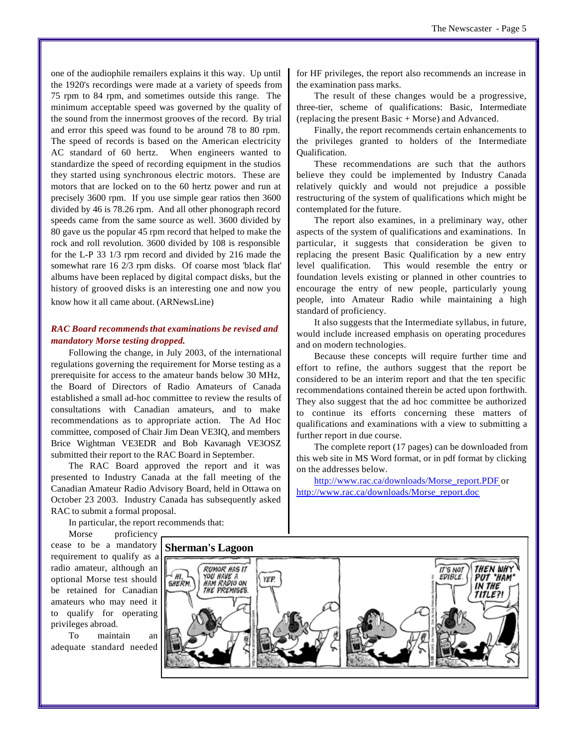one of the audiophile remailers explains it this way. Up until the 1920's recordings were made at a variety of speeds from 75 rpm to 84 rpm, and sometimes outside this range. The minimum acceptable speed was governed by the quality of the sound from the innermost grooves of the record. By trial and error this speed was found to be around 78 to 80 rpm. The speed of records is based on the American electricity AC standard of 60 hertz. When engineers wanted to standardize the speed of recording equipment in the studios they started using synchronous electric motors. These are motors that are locked on to the 60 hertz power and run at precisely 3600 rpm. If you use simple gear ratios then 3600 divided by 46 is 78.26 rpm. And all other phonograph record speeds came from the same source as well. 3600 divided by 80 gave us the popular 45 rpm record that helped to make the rock and roll revolution. 3600 divided by 108 is responsible for the L-P 33 1/3 rpm record and divided by 216 made the somewhat rare 16 2/3 rpm disks. Of coarse most 'black flat' albums have been replaced by digital compact disks, but the history of grooved disks is an interesting one and now you know how it all came about. (ARNewsLine)

#### *RAC Board recommends that examinations be revised and mandatory Morse testing dropped.*

Following the change, in July 2003, of the international regulations governing the requirement for Morse testing as a prerequisite for access to the amateur bands below 30 MHz, the Board of Directors of Radio Amateurs of Canada established a small ad-hoc committee to review the results of consultations with Canadian amateurs, and to make recommendations as to appropriate action. The Ad Hoc committee, composed of Chair Jim Dean VE3IQ, and members Brice Wightman VE3EDR and Bob Kavanagh VE3OSZ submitted their report to the RAC Board in September.

The RAC Board approved the report and it was presented to Industry Canada at the fall meeting of the Canadian Amateur Radio Advisory Board, held in Ottawa on October 23 2003. Industry Canada has subsequently asked RAC to submit a formal proposal.

In particular, the report recommends that:

Morse proficiency cease to be a mandatory requirement to qualify as a radio amateur, although an optional Morse test should be retained for Canadian amateurs who may need it to qualify for operating privileges abroad.

To maintain an adequate standard needed for HF privileges, the report also recommends an increase in the examination pass marks.

The result of these changes would be a progressive, three-tier, scheme of qualifications: Basic, Intermediate (replacing the present Basic + Morse) and Advanced.

Finally, the report recommends certain enhancements to the privileges granted to holders of the Intermediate Qualification.

These recommendations are such that the authors believe they could be implemented by Industry Canada relatively quickly and would not prejudice a possible restructuring of the system of qualifications which might be contemplated for the future.

The report also examines, in a preliminary way, other aspects of the system of qualifications and examinations. In particular, it suggests that consideration be given to replacing the present Basic Qualification by a new entry level qualification. This would resemble the entry or foundation levels existing or planned in other countries to encourage the entry of new people, particularly young people, into Amateur Radio while maintaining a high standard of proficiency.

It also suggests that the Intermediate syllabus, in future, would include increased emphasis on operating procedures and on modern technologies.

Because these concepts will require further time and effort to refine, the authors suggest that the report be considered to be an interim report and that the ten specific recommendations contained therein be acted upon forthwith. They also suggest that the ad hoc committee be authorized to continue its efforts concerning these matters of qualifications and examinations with a view to submitting a further report in due course.

The complete report (17 pages) can be downloaded from this web site in MS Word format, or in pdf format by clicking on the addresses below.

[http://www.rac.ca/downloads/Morse\\_report.PDF](http://www.rac.ca/downloads/Morse_report.PDF) or [http://www.rac.ca/downloads/Morse\\_report.doc](http://www.rac.ca/downloads/Morse_report.doc)

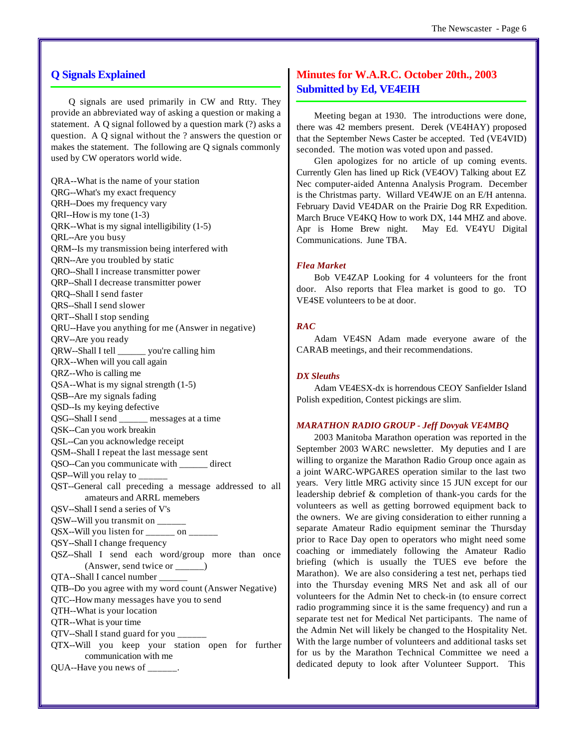#### **Q Signals Explained**

Q signals are used primarily in CW and Rtty. They provide an abbreviated way of asking a question or making a statement. A Q signal followed by a question mark (?) asks a question. A Q signal without the ? answers the question or makes the statement. The following are Q signals commonly used by CW operators world wide.

QRA--What is the name of your station QRG--What's my exact frequency QRH--Does my frequency vary QRI--How is my tone (1-3) QRK--What is my signal intelligibility (1-5) QRL--Are you busy QRM--Is my transmission being interfered with QRN--Are you troubled by static QRO--Shall I increase transmitter power QRP--Shall I decrease transmitter power QRQ--Shall I send faster QRS--Shall I send slower QRT--Shall I stop sending QRU--Have you anything for me (Answer in negative) QRV--Are you ready QRW--Shall I tell \_\_\_\_\_\_ you're calling him QRX--When will you call again QRZ--Who is calling me QSA--What is my signal strength (1-5) QSB--Are my signals fading QSD--Is my keying defective QSG--Shall I send \_\_\_\_\_\_ messages at a time QSK--Can you work breakin QSL--Can you acknowledge receipt QSM--Shall I repeat the last message sent QSO--Can you communicate with \_\_\_\_\_\_ direct QSP--Will you relay to \_\_\_\_\_\_ QST--General call preceding a message addressed to all amateurs and ARRL memebers QSV--Shall I send a series of V's QSW--Will you transmit on \_\_\_\_\_\_  $QSX$ -Will you listen for  $\frac{\ }{\ }$  on  $\frac{\ }{\ }$ QSY--Shall I change frequency QSZ--Shall I send each word/group more than once (Answer, send twice or \_\_\_\_\_\_) QTA--Shall I cancel number \_\_\_\_\_\_ QTB--Do you agree with my word count (Answer Negative) QTC--How many messages have you to send QTH--What is your location QTR--What is your time QTV--Shall I stand guard for you \_\_\_\_\_\_ QTX--Will you keep your station open for further communication with me QUA--Have you news of \_\_\_\_\_\_.

### **Minutes for W.A.R.C. October 20th., 2003 Submitted by Ed, VE4EIH**

Meeting began at 1930. The introductions were done, there was 42 members present. Derek (VE4HAY) proposed that the September News Caster be accepted. Ted (VE4VID) seconded. The motion was voted upon and passed.

Glen apologizes for no article of up coming events. Currently Glen has lined up Rick (VE4OV) Talking about EZ Nec computer-aided Antenna Analysis Program. December is the Christmas party. Willard VE4WJE on an E/H antenna. February David VE4DAR on the Prairie Dog RR Expedition. March Bruce VE4KQ How to work DX, 144 MHZ and above. Apr is Home Brew night. May Ed. VE4YU Digital Communications. June TBA.

#### *Flea Market*

Bob VE4ZAP Looking for 4 volunteers for the front door. Also reports that Flea market is good to go. TO VE4SE volunteers to be at door.

#### *RAC*

Adam VE4SN Adam made everyone aware of the CARAB meetings, and their recommendations.

#### *DX Sleuths*

Adam VE4ESX-dx is horrendous CEOY Sanfielder Island Polish expedition, Contest pickings are slim.

#### *MARATHON RADIO GROUP - Jeff Dovyak VE4MBQ*

2003 Manitoba Marathon operation was reported in the September 2003 WARC newsletter. My deputies and I are willing to organize the Marathon Radio Group once again as a joint WARC-WPGARES operation similar to the last two years. Very little MRG activity since 15 JUN except for our leadership debrief & completion of thank-you cards for the volunteers as well as getting borrowed equipment back to the owners. We are giving consideration to either running a separate Amateur Radio equipment seminar the Thursday prior to Race Day open to operators who might need some coaching or immediately following the Amateur Radio briefing (which is usually the TUES eve before the Marathon). We are also considering a test net, perhaps tied into the Thursday evening MRS Net and ask all of our volunteers for the Admin Net to check-in (to ensure correct radio programming since it is the same frequency) and run a separate test net for Medical Net participants. The name of the Admin Net will likely be changed to the Hospitality Net. With the large number of volunteers and additional tasks set for us by the Marathon Technical Committee we need a dedicated deputy to look after Volunteer Support. This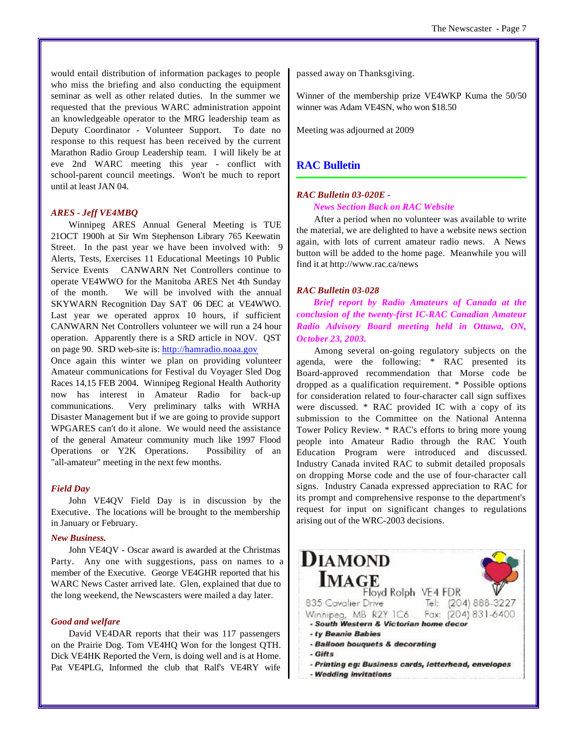would entail distribution of information packages to people who miss the briefing and also conducting the equipment seminar as well as other related duties. In the summer we requested that the previous WARC administration appoint an knowledgeable operator to the MRG leadership team as Deputy Coordinator - Volunteer Support. To date no response to this request has been received by the current Marathon Radio Group Leadership team. I will likely be at eve 2nd WARC meeting this year - conflict with school-parent council meetings. Won't be much to report until at least JAN 04.

#### *ARES - Jeff VE4MBQ*

Winnipeg ARES Annual General Meeting is TUE 21OCT 1900h at Sir Wm Stephenson Library 765 Keewatin Street. In the past year we have been involved with: 9 Alerts, Tests, Exercises 11 Educational Meetings 10 Public Service Events CANWARN Net Controllers continue to operate VE4WWO for the Manitoba ARES Net 4th Sunday of the month. We will be involved with the annual SKYWARN Recognition Day SAT 06 DEC at VE4WWO. Last year we operated approx 10 hours, if sufficient CANWARN Net Controllers volunteer we will run a 24 hour operation. Apparently there is a SRD article in NOV. QST on page 90. SRD web-site is: <http://hamradio.noaa.gov>

Once again this winter we plan on providing volunteer Amateur communications for Festival du Voyager Sled Dog Races 14,15 FEB 2004. Winnipeg Regional Health Authority now has interest in Amateur Radio for back-up communications. Very preliminary talks with WRHA Disaster Management but if we are going to provide support WPGARES can't do it alone. We would need the assistance of the general Amateur community much like 1997 Flood Operations or Y2K Operations. Possibility of an "all-amateur" meeting in the next few months.

#### *Field Day*

John VE4QV Field Day is in discussion by the Executive. The locations will be brought to the membership in January or February.

#### *New Business.*

John VE4QV - Oscar award is awarded at the Christmas Party. Any one with suggestions, pass on names to a member of the Executive. George VE4GHR reported that his WARC News Caster arrived late. Glen, explained that due to the long weekend, the Newscasters were mailed a day later.

#### *Good and welfare*

David VE4DAR reports that their was 117 passengers on the Prairie Dog. Tom VE4HQ Won for the longest QTH. Dick VE4HK Reported the Vern, is doing well and is at Home. Pat VE4PLG, Informed the club that Ralf's VE4RY wife

passed away on Thanksgiving.

Winner of the membership prize VE4WKP Kuma the 50/50 winner was Adam VE4SN, who won \$18.50

Meeting was adjourned at 2009

#### **RAC Bulletin**

#### *RAC Bulletin 03-020E -*

#### *News Section Back on RAC Website*

After a period when no volunteer was available to write the material, we are delighted to have a website news section again, with lots of current amateur radio news. A News button will be added to the home page. Meanwhile you will find it at <http://www.rac.ca/news>

#### *RAC Bulletin 03-028*

*Brief report by Radio Amateurs of Canada at the conclusion of the twenty-first IC-RAC Canadian Amateur Radio Advisory Board meeting held in Ottawa, ON, October 23, 2003.*

Among several on-going regulatory subjects on the agenda, were the following: \* RAC presented its Board-approved recommendation that Morse code be dropped as a qualification requirement. \* Possible options for consideration related to four-character call sign suffixes were discussed. \* RAC provided IC with a copy of its submission to the Committee on the National Antenna Tower Policy Review. \* RAC's efforts to bring more young people into Amateur Radio through the RAC Youth Education Program were introduced and discussed. Industry Canada invited RAC to submit detailed proposals on dropping Morse code and the use of four-character call signs. Industry Canada expressed appreciation to RAC for its prompt and comprehensive response to the department's request for input on significant changes to regulations arising out of the WRC-2003 decisions.

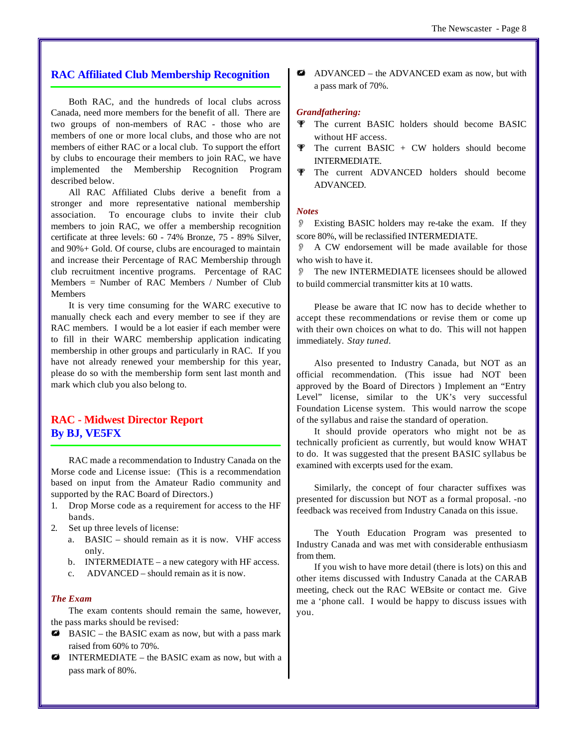#### **RAC Affiliated Club Membership Recognition**

Both RAC, and the hundreds of local clubs across Canada, need more members for the benefit of all. There are two groups of non-members of RAC - those who are members of one or more local clubs, and those who are not members of either RAC or a local club. To support the effort by clubs to encourage their members to join RAC, we have implemented the Membership Recognition Program described below.

All RAC Affiliated Clubs derive a benefit from a stronger and more representative national membership association. To encourage clubs to invite their club members to join RAC, we offer a membership recognition certificate at three levels: 60 - 74% Bronze, 75 - 89% Silver, and 90%+ Gold. Of course, clubs are encouraged to maintain and increase their Percentage of RAC Membership through club recruitment incentive programs. Percentage of RAC Members = Number of RAC Members / Number of Club Members

It is very time consuming for the WARC executive to manually check each and every member to see if they are RAC members. I would be a lot easier if each member were to fill in their WARC membership application indicating membership in other groups and particularly in RAC. If you have not already renewed your membership for this year, please do so with the membership form sent last month and mark which club you also belong to.

### **RAC - Midwest Director Report By BJ, VE5FX**

RAC made a recommendation to Industry Canada on the Morse code and License issue: (This is a recommendation based on input from the Amateur Radio community and supported by the RAC Board of Directors.)

- 1. Drop Morse code as a requirement for access to the HF bands.
- 2. Set up three levels of license:
	- a. BASIC should remain as it is now. VHF access only.
	- b. INTERMEDIATE a new category with HF access.
	- c. ADVANCED should remain as it is now.

#### *The Exam*

The exam contents should remain the same, however, the pass marks should be revised:

- $\#$  BASIC the BASIC exam as now, but with a pass mark raised from 60% to 70%.
- $\mathbf{W}$  INTERMEDIATE the BASIC exam as now, but with a pass mark of 80%.

**\*\*** ADVANCED – the ADVANCED exam as now, but with a pass mark of 70%.

#### *Grandfathering:*

- **The current BASIC holders should become BASIC** without HF access.
- $\Psi$  The current BASIC + CW holders should become INTERMEDIATE.
- **W** The current ADVANCED holders should become ADVANCED.

#### *Notes*

O Existing BASIC holders may re-take the exam. If they score 80%, will be reclassified INTERMEDIATE.

A CW endorsement will be made available for those who wish to have it.

The new INTERMEDIATE licensees should be allowed to build commercial transmitter kits at 10 watts.

Please be aware that IC now has to decide whether to accept these recommendations or revise them or come up with their own choices on what to do. This will not happen immediately. *Stay tuned.*

Also presented to Industry Canada, but NOT as an official recommendation. (This issue had NOT been approved by the Board of Directors ) Implement an "Entry Level" license, similar to the UK's very successful Foundation License system. This would narrow the scope of the syllabus and raise the standard of operation.

It should provide operators who might not be as technically proficient as currently, but would know WHAT to do. It was suggested that the present BASIC syllabus be examined with excerpts used for the exam.

Similarly, the concept of four character suffixes was presented for discussion but NOT as a formal proposal. -no feedback was received from Industry Canada on this issue.

The Youth Education Program was presented to Industry Canada and was met with considerable enthusiasm from them.

If you wish to have more detail (there is lots) on this and other items discussed with Industry Canada at the CARAB meeting, check out the RAC WEBsite or contact me. Give me a 'phone call. I would be happy to discuss issues with you.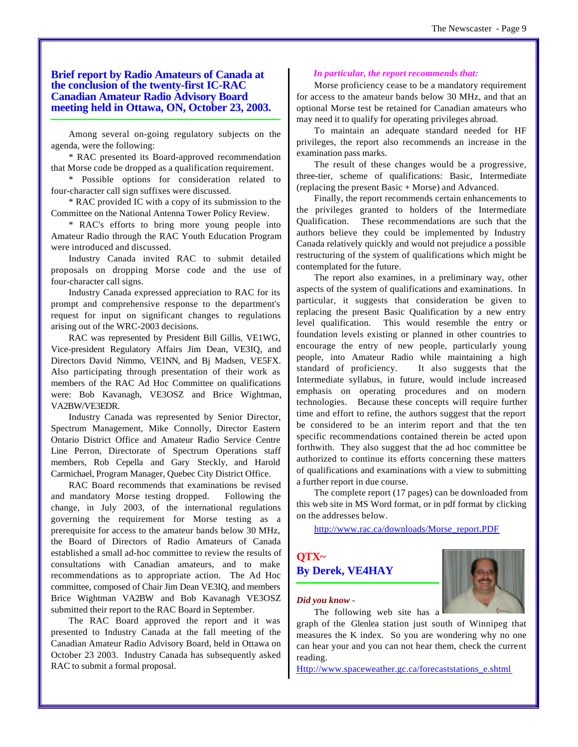#### **Brief report by Radio Amateurs of Canada at the conclusion of the twenty-first IC-RAC Canadian Amateur Radio Advisory Board meeting held in Ottawa, ON, October 23, 2003.**

Among several on-going regulatory subjects on the agenda, were the following:

\* RAC presented its Board-approved recommendation that Morse code be dropped as a qualification requirement.

\* Possible options for consideration related to four-character call sign suffixes were discussed.

\* RAC provided IC with a copy of its submission to the Committee on the National Antenna Tower Policy Review.

\* RAC's efforts to bring more young people into Amateur Radio through the RAC Youth Education Program were introduced and discussed.

Industry Canada invited RAC to submit detailed proposals on dropping Morse code and the use of four-character call signs.

Industry Canada expressed appreciation to RAC for its prompt and comprehensive response to the department's request for input on significant changes to regulations arising out of the WRC-2003 decisions.

RAC was represented by President Bill Gillis, VE1WG, Vice-president Regulatory Affairs Jim Dean, VE3IQ, and Directors David Nimmo, VE1NN, and Bj Madsen, VE5FX. Also participating through presentation of their work as members of the RAC Ad Hoc Committee on qualifications were: Bob Kavanagh, VE3OSZ and Brice Wightman, VA2BW/VE3EDR.

Industry Canada was represented by Senior Director, Spectrum Management, Mike Connolly, Director Eastern Ontario District Office and Amateur Radio Service Centre Line Perron, Directorate of Spectrum Operations staff members, Rob Cepella and Gary Steckly, and Harold Carmichael, Program Manager, Quebec City District Office.

RAC Board recommends that examinations be revised and mandatory Morse testing dropped. Following the change, in July 2003, of the international regulations governing the requirement for Morse testing as a prerequisite for access to the amateur bands below 30 MHz, the Board of Directors of Radio Amateurs of Canada established a small ad-hoc committee to review the results of consultations with Canadian amateurs, and to make recommendations as to appropriate action. The Ad Hoc committee, composed of Chair Jim Dean VE3IQ, and members Brice Wightman VA2BW and Bob Kavanagh VE3OSZ submitted their report to the RAC Board in September.

The RAC Board approved the report and it was presented to Industry Canada at the fall meeting of the Canadian Amateur Radio Advisory Board, held in Ottawa on October 23 2003. Industry Canada has subsequently asked RAC to submit a formal proposal.

#### *In particular, the report recommends that:*

Morse proficiency cease to be a mandatory requirement for access to the amateur bands below 30 MHz, and that an optional Morse test be retained for Canadian amateurs who may need it to qualify for operating privileges abroad.

To maintain an adequate standard needed for HF privileges, the report also recommends an increase in the examination pass marks.

The result of these changes would be a progressive, three-tier, scheme of qualifications: Basic, Intermediate (replacing the present Basic + Morse) and Advanced.

Finally, the report recommends certain enhancements to the privileges granted to holders of the Intermediate Qualification. These recommendations are such that the authors believe they could be implemented by Industry Canada relatively quickly and would not prejudice a possible restructuring of the system of qualifications which might be contemplated for the future.

The report also examines, in a preliminary way, other aspects of the system of qualifications and examinations. In particular, it suggests that consideration be given to replacing the present Basic Qualification by a new entry level qualification. This would resemble the entry or foundation levels existing or planned in other countries to encourage the entry of new people, particularly young people, into Amateur Radio while maintaining a high standard of proficiency. It also suggests that the Intermediate syllabus, in future, would include increased emphasis on operating procedures and on modern technologies. Because these concepts will require further time and effort to refine, the authors suggest that the report be considered to be an interim report and that the ten specific recommendations contained therein be acted upon forthwith. They also suggest that the ad hoc committee be authorized to continue its efforts concerning these matters of qualifications and examinations with a view to submitting a further report in due course.

The complete report (17 pages) can be downloaded from this web site in MS Word format, or in pdf format by clicking on the addresses below.

[http://www.rac.ca/downloads/Morse\\_report.PDF](http://www.rac.ca/downloads/Morse_report.PDF)

## **QTX~ By Derek, VE4HAY**



#### *Did you know -*

The following web site has a

graph of the Glenlea station just south of Winnipeg that measures the K index. So you are wondering why no one can hear your and you can not hear them, check the current reading.

[Http://www.spaceweather.gc.ca/forecaststations\\_e.shtml](Http://www.spaceweather.gc.ca/forecaststations_e.shtml)